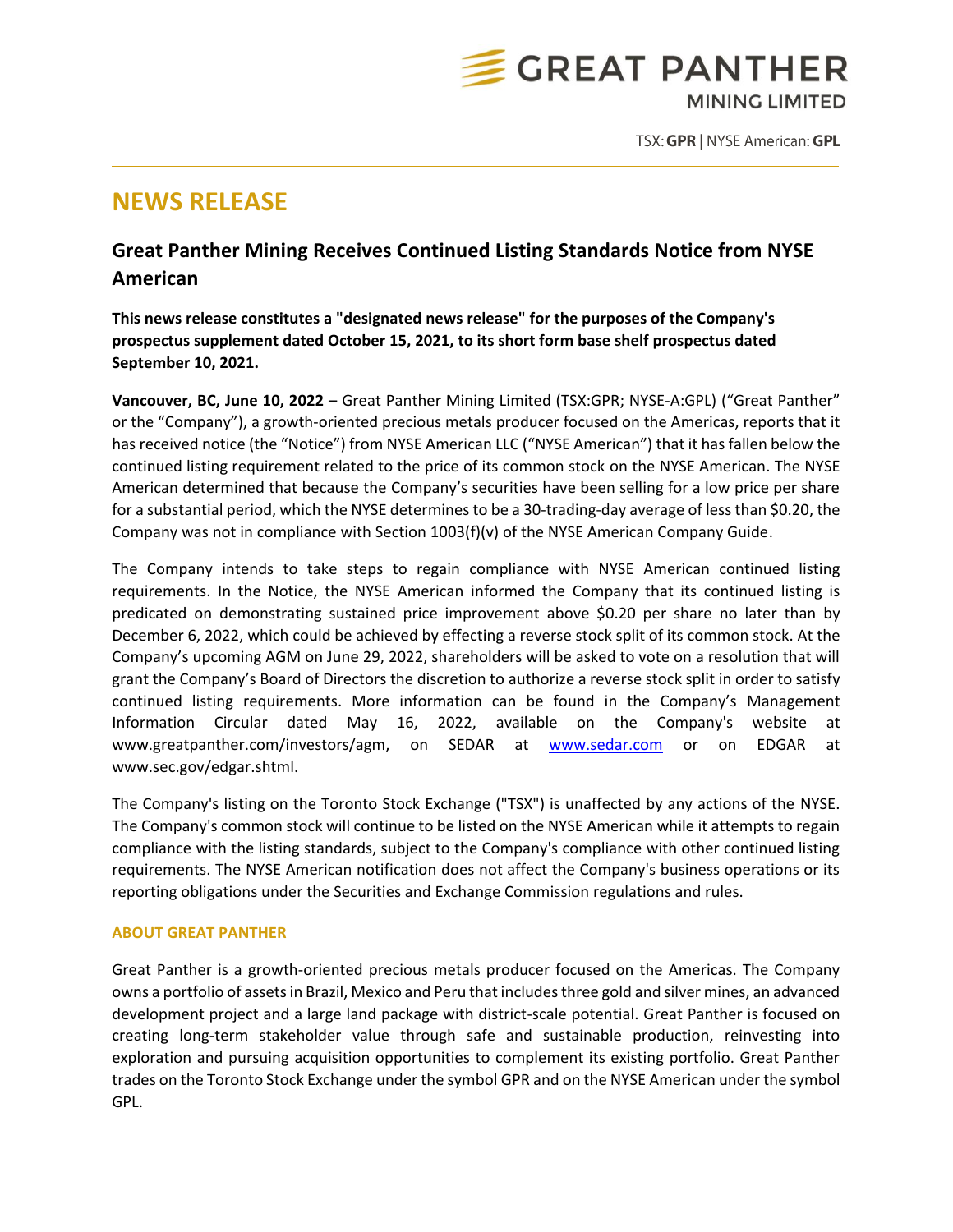

TSX: GPR | NYSE American: GPL

## **NEWS RELEASE**

## **Great Panther Mining Receives Continued Listing Standards Notice from NYSE American**

**This news release constitutes a "designated news release" for the purposes of the Company's prospectus supplement dated October 15, 2021, to its short form base shelf prospectus dated September 10, 2021.**

**Vancouver, BC, June 10, 2022** – Great Panther Mining Limited (TSX:GPR; NYSE-A:GPL) ("Great Panther" or the "Company"), a growth-oriented precious metals producer focused on the Americas, reports that it has received notice (the "Notice") from NYSE American LLC ("NYSE American") that it has fallen below the continued listing requirement related to the price of its common stock on the NYSE American. The NYSE American determined that because the Company's securities have been selling for a low price per share for a substantial period, which the NYSE determines to be a 30-trading-day average of less than \$0.20, the Company was not in compliance with Section 1003(f)(v) of the NYSE American Company Guide.

The Company intends to take steps to regain compliance with NYSE American continued listing requirements. In the Notice, the NYSE American informed the Company that its continued listing is predicated on demonstrating sustained price improvement above \$0.20 per share no later than by December 6, 2022, which could be achieved by effecting a reverse stock split of its common stock. At the Company's upcoming AGM on June 29, 2022, shareholders will be asked to vote on a resolution that will grant the Company's Board of Directors the discretion to authorize a reverse stock split in order to satisfy continued listing requirements. More information can be found in the Company's Management Information Circular dated May 16, 2022, available on the Company's website at www.greatpanther.com/investors/agm, on SEDAR at [www.sedar.com](http://www.sedar.com/) or on EDGAR at www.sec.gov/edgar.shtml.

The Company's listing on the Toronto Stock Exchange ("TSX") is unaffected by any actions of the NYSE. The Company's common stock will continue to be listed on the NYSE American while it attempts to regain compliance with the listing standards, subject to the Company's compliance with other continued listing requirements. The NYSE American notification does not affect the Company's business operations or its reporting obligations under the Securities and Exchange Commission regulations and rules.

## **ABOUT GREAT PANTHER**

Great Panther is a growth-oriented precious metals producer focused on the Americas. The Company owns a portfolio of assets in Brazil, Mexico and Peru that includes three gold and silver mines, an advanced development project and a large land package with district-scale potential. Great Panther is focused on creating long-term stakeholder value through safe and sustainable production, reinvesting into exploration and pursuing acquisition opportunities to complement its existing portfolio. Great Panther trades on the Toronto Stock Exchange under the symbol GPR and on the NYSE American under the symbol GPL.